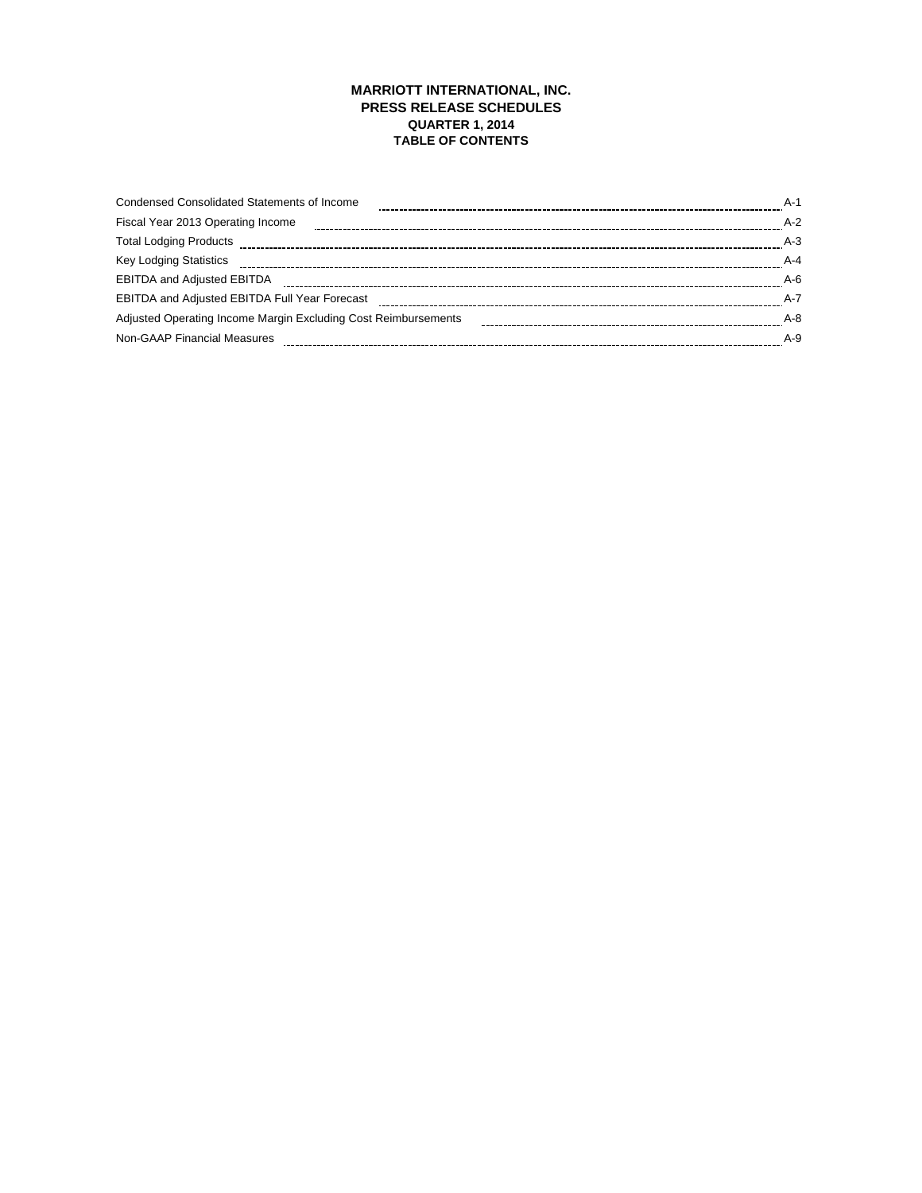# **MARRIOTT INTERNATIONAL, INC. PRESS RELEASE SCHEDULES QUARTER 1, 2014 TABLE OF CONTENTS**

| <b>Condensed Consolidated Statements of Income</b>             | $A-1$   |
|----------------------------------------------------------------|---------|
| Fiscal Year 2013 Operating Income                              | $A-2$   |
| <b>Total Lodging Products</b>                                  | $A-3$   |
| <b>Key Lodging Statistics</b>                                  | $A - 4$ |
| <b>EBITDA and Adjusted EBITDA</b>                              | $A-6$   |
| <b>EBITDA and Adjusted EBITDA Full Year Forecast</b>           | $A - 7$ |
| Adjusted Operating Income Margin Excluding Cost Reimbursements | $A - 8$ |
| Non-GAAP Financial Measures                                    | $A-9$   |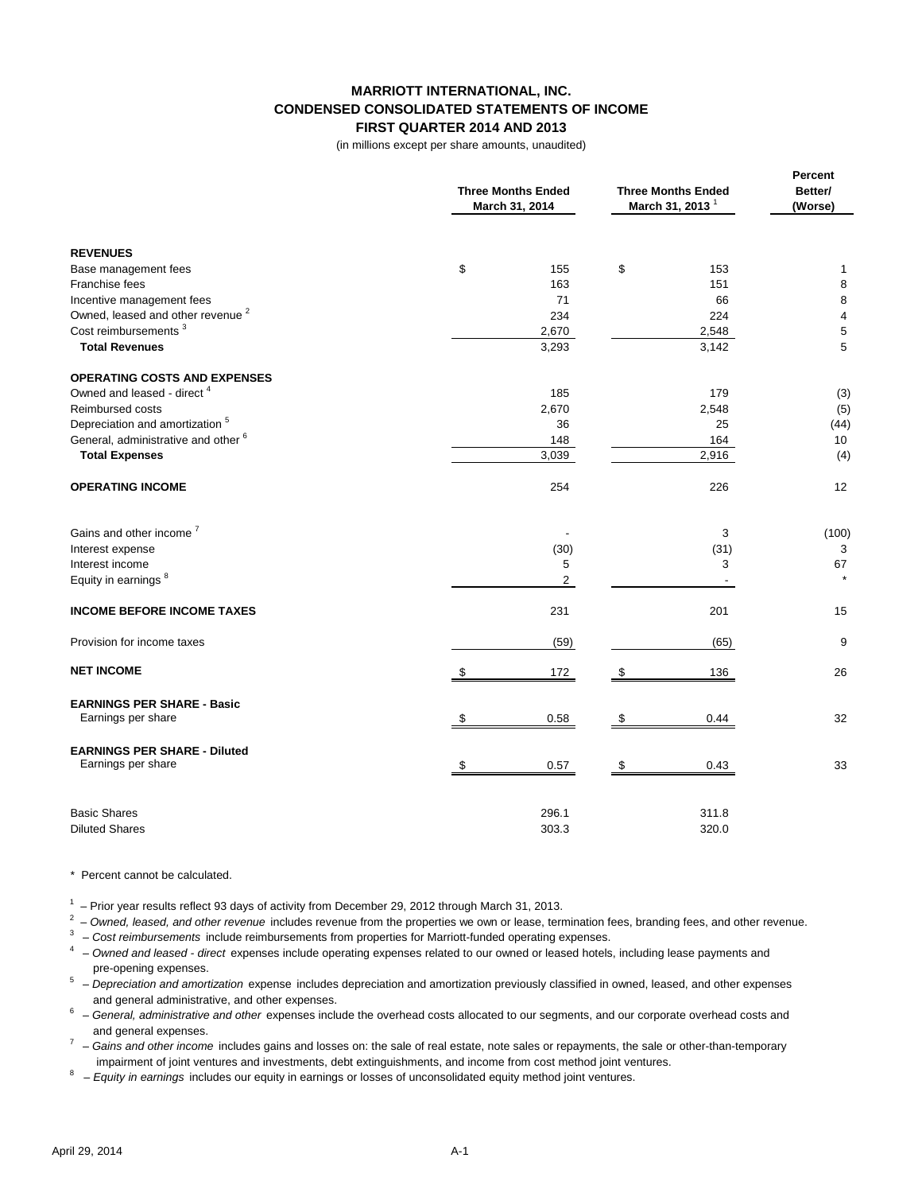## **MARRIOTT INTERNATIONAL, INC. CONDENSED CONSOLIDATED STATEMENTS OF INCOME FIRST QUARTER 2014 AND 2013**

(in millions except per share amounts, unaudited)

|                                                         | <b>Three Months Ended</b><br>March 31, 2014 | <b>Three Months Ended</b><br>March 31, 2013 | Percent<br>Better/<br>(Worse) |  |
|---------------------------------------------------------|---------------------------------------------|---------------------------------------------|-------------------------------|--|
| <b>REVENUES</b>                                         |                                             |                                             |                               |  |
| Base management fees                                    | \$<br>155                                   | \$<br>153                                   | 1                             |  |
| Franchise fees                                          | 163                                         | 151                                         | 8                             |  |
| Incentive management fees                               | 71                                          | 66                                          | 8                             |  |
| Owned, leased and other revenue <sup>2</sup>            | 234                                         | 224                                         | $\overline{4}$                |  |
| Cost reimbursements <sup>3</sup>                        | 2,670                                       | 2,548                                       | 5                             |  |
| <b>Total Revenues</b>                                   | 3,293                                       | 3,142                                       | 5                             |  |
| <b>OPERATING COSTS AND EXPENSES</b>                     |                                             |                                             |                               |  |
| Owned and leased - direct <sup>4</sup>                  | 185                                         | 179                                         | (3)                           |  |
| Reimbursed costs                                        | 2,670                                       | 2,548                                       | (5)                           |  |
| Depreciation and amortization <sup>5</sup>              | 36                                          | 25                                          | (44)                          |  |
| General, administrative and other <sup>6</sup>          | 148                                         | 164                                         | 10                            |  |
| <b>Total Expenses</b>                                   | 3,039                                       | 2,916                                       | (4)                           |  |
| <b>OPERATING INCOME</b>                                 | 254                                         | 226                                         | 12                            |  |
| Gains and other income <sup>7</sup>                     |                                             | 3                                           | (100)                         |  |
| Interest expense                                        | (30)                                        | (31)                                        | 3                             |  |
| Interest income                                         | 5                                           | 3                                           | 67                            |  |
| Equity in earnings <sup>8</sup>                         | $\overline{2}$                              |                                             |                               |  |
| <b>INCOME BEFORE INCOME TAXES</b>                       | 231                                         | 201                                         | 15                            |  |
| Provision for income taxes                              | (59)                                        | (65)                                        | 9                             |  |
| <b>NET INCOME</b>                                       | \$<br>172                                   | 136<br>\$                                   | 26                            |  |
| <b>EARNINGS PER SHARE - Basic</b><br>Earnings per share | 0.58<br>S                                   | 0.44<br>\$                                  | 32                            |  |
|                                                         |                                             |                                             |                               |  |
| <b>EARNINGS PER SHARE - Diluted</b>                     |                                             |                                             |                               |  |
| Earnings per share                                      | 0.57<br>\$                                  | 0.43<br>\$                                  | 33                            |  |
| <b>Basic Shares</b>                                     | 296.1                                       | 311.8                                       |                               |  |
| <b>Diluted Shares</b>                                   | 303.3                                       | 320.0                                       |                               |  |

#### \* Percent cannot be calculated.

 $1$   $-$  Prior year results reflect 93 days of activity from December 29, 2012 through March 31, 2013.

2 – *Owned, leased, and other revenue* includes revenue from the properties we own or lease, termination fees, branding fees, and other revenue.

<sup>3</sup> – Cost reimbursements include reimbursements from properties for Marriott-funded operating expenses.

4 – *Owned and leased - direct* expenses include operating expenses related to our owned or leased hotels, including lease payments and pre-opening expenses.

5 – *Depreciation and amortization* expense includes depreciation and amortization previously classified in owned, leased, and other expenses and general administrative, and other expenses.

- 6 *General, administrative and other* expenses include the overhead costs allocated to our segments, and our corporate overhead costs and and general expenses.
- <sup>7</sup> Gains and other income includes gains and losses on: the sale of real estate, note sales or repayments, the sale or other-than-temporary impairment of joint ventures and investments, debt extinguishments, and income from cost method joint ventures.<br>
Equity in extringe includes our equity in extringe or loose of unconcelidated equity method joint ventures.

8 – *Equity in earnings* includes our equity in earnings or losses of unconsolidated equity method joint ventures.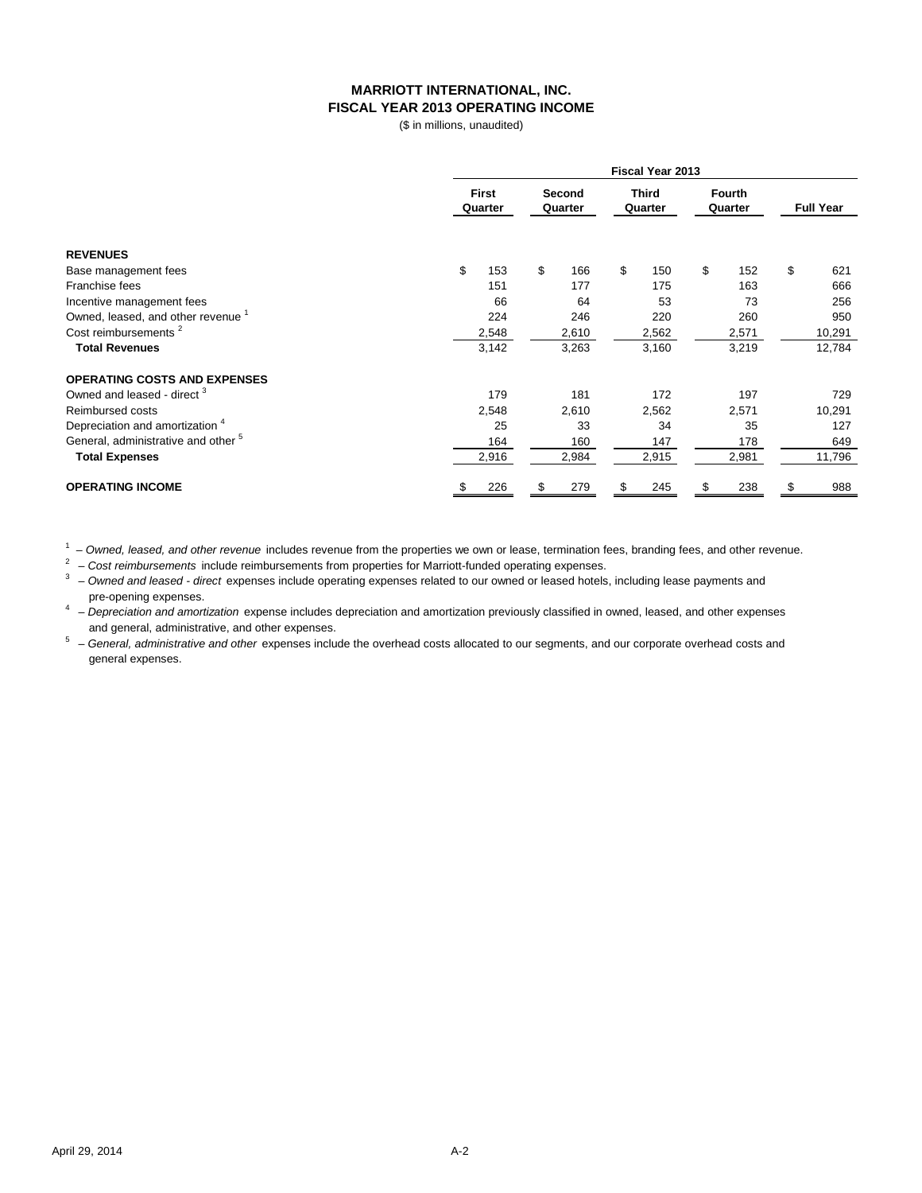# **MARRIOTT INTERNATIONAL, INC. FISCAL YEAR 2013 OPERATING INCOME**

(\$ in millions, unaudited)

|                                                |                  | Fiscal Year 2013                             |           |                          |                  |  |  |  |  |
|------------------------------------------------|------------------|----------------------------------------------|-----------|--------------------------|------------------|--|--|--|--|
|                                                | First<br>Quarter | <b>Third</b><br>Second<br>Quarter<br>Quarter |           | <b>Fourth</b><br>Quarter | <b>Full Year</b> |  |  |  |  |
| <b>REVENUES</b>                                |                  |                                              |           |                          |                  |  |  |  |  |
| Base management fees                           | \$<br>153        | \$<br>166                                    | \$<br>150 | \$<br>152                | \$<br>621        |  |  |  |  |
| Franchise fees                                 | 151              | 177                                          | 175       | 163                      | 666              |  |  |  |  |
| Incentive management fees                      | 66               | 64                                           | 53        | 73                       | 256              |  |  |  |  |
| Owned, leased, and other revenue <sup>1</sup>  | 224              | 246                                          | 220       | 260                      | 950              |  |  |  |  |
| Cost reimbursements <sup>2</sup>               | 2,548            | 2,610                                        | 2,562     | 2,571                    | 10,291           |  |  |  |  |
| <b>Total Revenues</b>                          | 3,142            | 3,263                                        | 3,160     | 3,219                    | 12,784           |  |  |  |  |
| <b>OPERATING COSTS AND EXPENSES</b>            |                  |                                              |           |                          |                  |  |  |  |  |
| Owned and leased - direct <sup>3</sup>         | 179              | 181                                          | 172       | 197                      | 729              |  |  |  |  |
| Reimbursed costs                               | 2,548            | 2,610                                        | 2,562     | 2,571                    | 10,291           |  |  |  |  |
| Depreciation and amortization <sup>4</sup>     | 25               | 33                                           | 34        | 35                       | 127              |  |  |  |  |
| General, administrative and other <sup>5</sup> | 164              | 160                                          | 147       | 178                      | 649              |  |  |  |  |
| <b>Total Expenses</b>                          | 2,916            | 2,984                                        | 2,915     | 2,981                    | 11,796           |  |  |  |  |
| <b>OPERATING INCOME</b>                        | 226<br>S         | 279                                          | \$<br>245 | 238<br>S                 | 988              |  |  |  |  |

1 – *Owned, leased, and other revenue* includes revenue from the properties we own or lease, termination fees, branding fees, and other revenue.

2 – *Cost reimbursements* include reimbursements from properties for Marriott-funded operating expenses.

3 – *Owned and leased - direct* expenses include operating expenses related to our owned or leased hotels, including lease payments and pre-opening expenses.

4 – *Depreciation and amortization* expense includes depreciation and amortization previously classified in owned, leased, and other expenses and general, administrative, and other expenses.

5 – *General, administrative and other* expenses include the overhead costs allocated to our segments, and our corporate overhead costs and general expenses.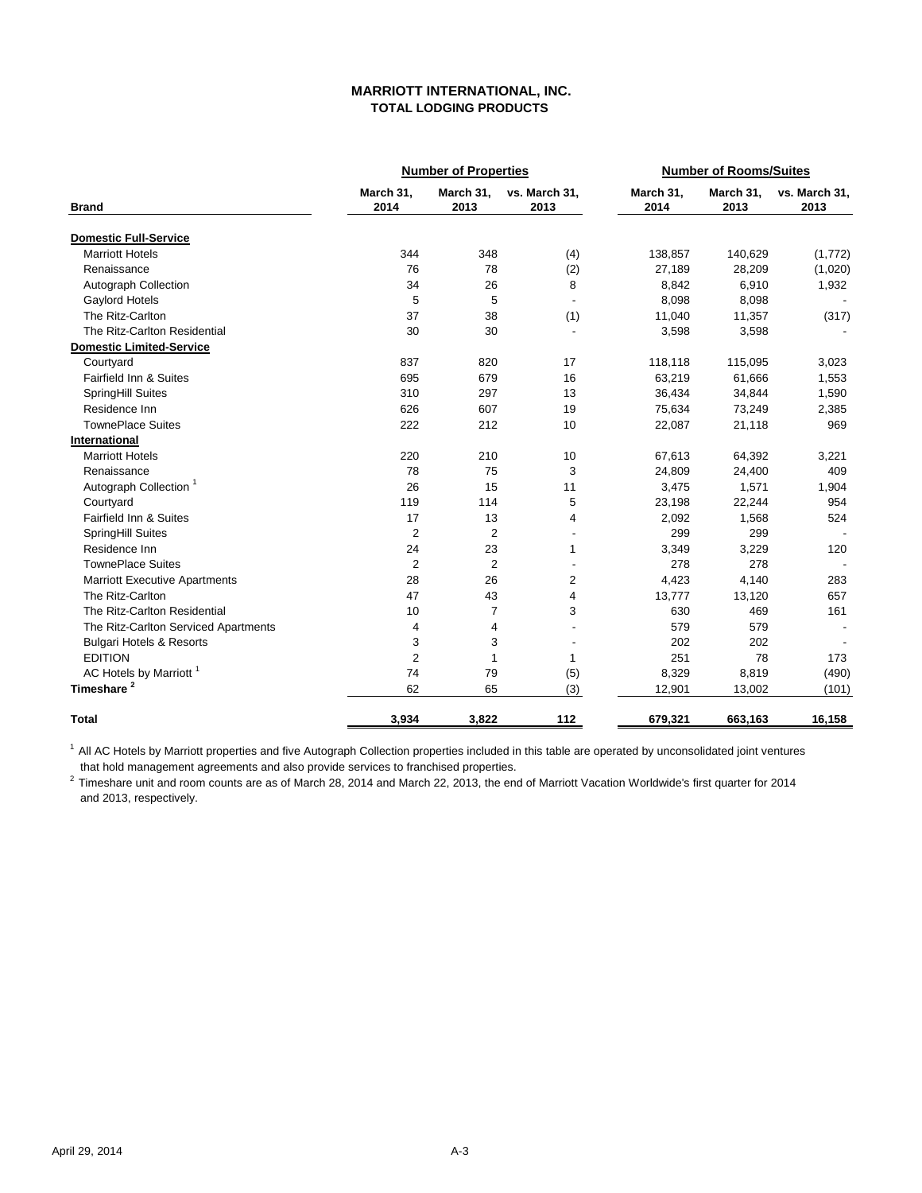# **MARRIOTT INTERNATIONAL, INC. TOTAL LODGING PRODUCTS**

|                                      |                   | <b>Number of Properties</b> |                       |                   | <b>Number of Rooms/Suites</b> |                       |  |  |
|--------------------------------------|-------------------|-----------------------------|-----------------------|-------------------|-------------------------------|-----------------------|--|--|
| <b>Brand</b>                         | March 31,<br>2014 | March 31,<br>2013           | vs. March 31,<br>2013 | March 31,<br>2014 | March 31,<br>2013             | vs. March 31.<br>2013 |  |  |
| <b>Domestic Full-Service</b>         |                   |                             |                       |                   |                               |                       |  |  |
| <b>Marriott Hotels</b>               | 344               | 348                         | (4)                   | 138,857           | 140,629                       | (1,772)               |  |  |
| Renaissance                          | 76                | 78                          | (2)                   | 27,189            | 28,209                        | (1,020)               |  |  |
| Autograph Collection                 | 34                | 26                          | 8                     | 8,842             | 6,910                         | 1,932                 |  |  |
| Gaylord Hotels                       | 5                 | 5                           | $\overline{a}$        | 8,098             | 8,098                         |                       |  |  |
| The Ritz-Carlton                     | 37                | 38                          | (1)                   | 11,040            | 11,357                        | (317)                 |  |  |
| The Ritz-Carlton Residential         | 30                | 30                          | $\overline{a}$        | 3,598             | 3,598                         |                       |  |  |
| <b>Domestic Limited-Service</b>      |                   |                             |                       |                   |                               |                       |  |  |
| Courtyard                            | 837               | 820                         | 17                    | 118,118           | 115,095                       | 3,023                 |  |  |
| Fairfield Inn & Suites               | 695               | 679                         | 16                    | 63,219            | 61,666                        | 1,553                 |  |  |
| SpringHill Suites                    | 310               | 297                         | 13                    | 36,434            | 34,844                        | 1,590                 |  |  |
| Residence Inn                        | 626               | 607                         | 19                    | 75,634            | 73,249                        | 2,385                 |  |  |
| <b>TownePlace Suites</b>             | 222               | 212                         | 10                    | 22,087            | 21,118                        | 969                   |  |  |
| International                        |                   |                             |                       |                   |                               |                       |  |  |
| <b>Marriott Hotels</b>               | 220               | 210                         | 10                    | 67,613            | 64,392                        | 3,221                 |  |  |
| Renaissance                          | 78                | 75                          | 3                     | 24,809            | 24,400                        | 409                   |  |  |
| Autograph Collection <sup>1</sup>    | 26                | 15                          | 11                    | 3,475             | 1,571                         | 1,904                 |  |  |
| Courtyard                            | 119               | 114                         | 5                     | 23,198            | 22,244                        | 954                   |  |  |
| Fairfield Inn & Suites               | 17                | 13                          | 4                     | 2,092             | 1,568                         | 524                   |  |  |
| SpringHill Suites                    | $\overline{2}$    | $\overline{2}$              |                       | 299               | 299                           |                       |  |  |
| Residence Inn                        | 24                | 23                          | $\mathbf{1}$          | 3,349             | 3,229                         | 120                   |  |  |
| <b>TownePlace Suites</b>             | $\overline{2}$    | $\overline{2}$              |                       | 278               | 278                           |                       |  |  |
| <b>Marriott Executive Apartments</b> | 28                | 26                          | $\overline{2}$        | 4,423             | 4,140                         | 283                   |  |  |
| The Ritz-Carlton                     | 47                | 43                          | 4                     | 13,777            | 13,120                        | 657                   |  |  |
| The Ritz-Carlton Residential         | 10                | 7                           | 3                     | 630               | 469                           | 161                   |  |  |
| The Ritz-Carlton Serviced Apartments | 4                 | $\overline{4}$              |                       | 579               | 579                           |                       |  |  |
| <b>Bulgari Hotels &amp; Resorts</b>  | 3                 | 3                           |                       | 202               | 202                           |                       |  |  |
| <b>EDITION</b>                       | $\overline{2}$    | $\mathbf{1}$                | $\mathbf{1}$          | 251               | 78                            | 173                   |  |  |
| AC Hotels by Marriott <sup>1</sup>   | 74                | 79                          | (5)                   | 8,329             | 8,819                         | (490)                 |  |  |
| Timeshare <sup>2</sup>               | 62                | 65                          | (3)                   | 12,901            | 13,002                        | (101)                 |  |  |
| <b>Total</b>                         | 3,934             | 3,822                       | 112                   | 679,321           | 663,163                       | 16,158                |  |  |

 that hold management agreements and also provide services to franchised properties. <sup>1</sup> All AC Hotels by Marriott properties and five Autograph Collection properties included in this table are operated by unconsolidated joint ventures

<sup>2</sup> Timeshare unit and room counts are as of March 28, 2014 and March 22, 2013, the end of Marriott Vacation Worldwide's first quarter for 2014 and 2013, respectively.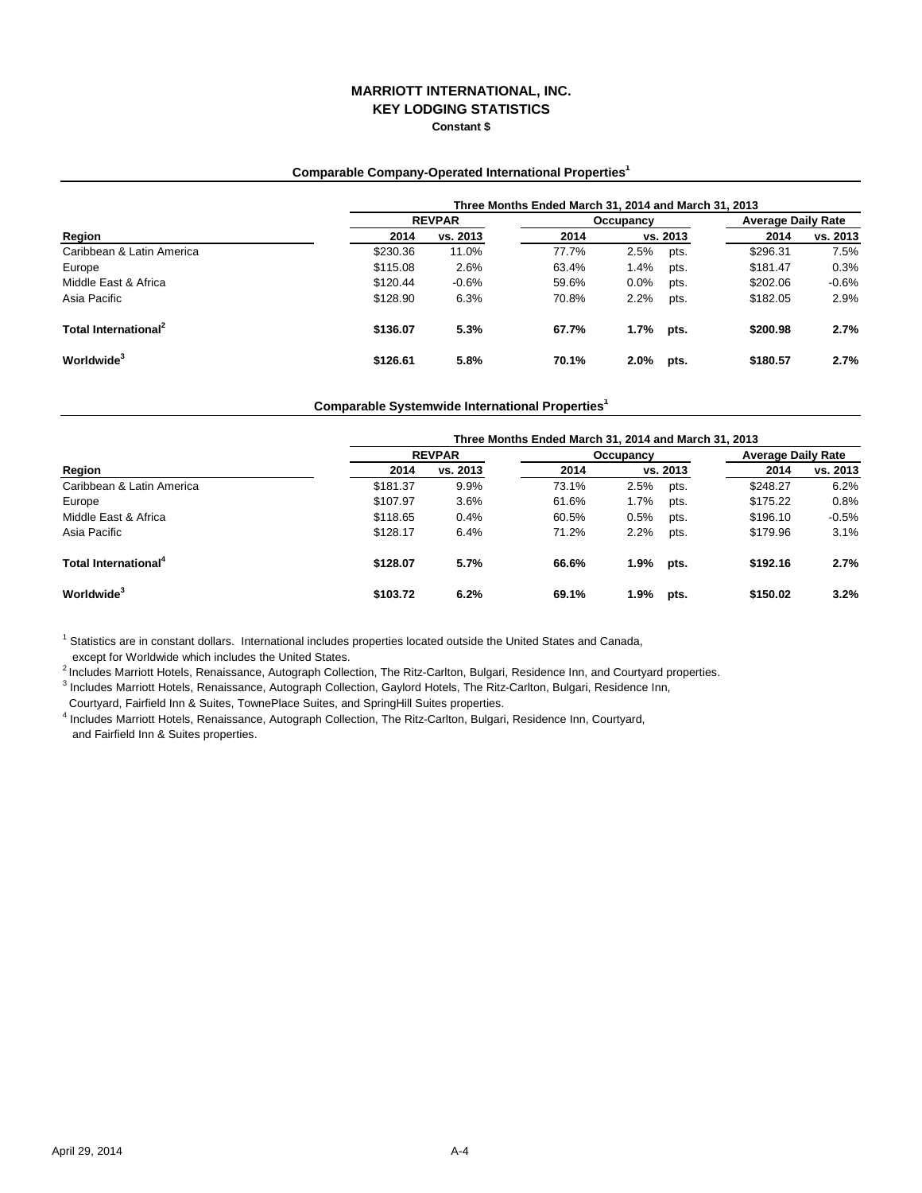# **MARRIOTT INTERNATIONAL, INC. KEY LODGING STATISTICS Constant \$**

### **Comparable Company-Operated International Properties1**

|                                  |          | Three Months Ended March 31, 2014 and March 31, 2013 |       |      |          |                           |          |  |  |
|----------------------------------|----------|------------------------------------------------------|-------|------|----------|---------------------------|----------|--|--|
| Region                           |          | <b>REVPAR</b>                                        |       |      |          | <b>Average Daily Rate</b> |          |  |  |
|                                  | 2014     | vs. 2013                                             | 2014  |      | vs. 2013 | 2014                      | vs. 2013 |  |  |
| Caribbean & Latin America        | \$230.36 | 11.0%                                                | 77.7% | 2.5% | pts.     | \$296.31                  | 7.5%     |  |  |
| Europe                           | \$115.08 | 2.6%                                                 | 63.4% | 1.4% | pts.     | \$181.47                  | 0.3%     |  |  |
| Middle East & Africa             | \$120.44 | $-0.6%$                                              | 59.6% | 0.0% | pts.     | \$202.06                  | $-0.6%$  |  |  |
| Asia Pacific                     | \$128.90 | 6.3%                                                 | 70.8% | 2.2% | pts.     | \$182.05                  | 2.9%     |  |  |
| Total International <sup>2</sup> | \$136.07 | 5.3%                                                 | 67.7% | 1.7% | pts.     | \$200.98                  | 2.7%     |  |  |
| Worldwide <sup>3</sup>           | \$126.61 | 5.8%                                                 | 70.1% | 2.0% | pts.     | \$180.57                  | 2.7%     |  |  |

#### **Comparable Systemwide International Properties1**

| Region                           |          | Three Months Ended March 31, 2014 and March 31, 2013 |       |           |                           |          |          |  |  |  |
|----------------------------------|----------|------------------------------------------------------|-------|-----------|---------------------------|----------|----------|--|--|--|
|                                  |          | <b>REVPAR</b>                                        |       | Occupancy | <b>Average Daily Rate</b> |          |          |  |  |  |
|                                  | 2014     | vs. 2013                                             | 2014  | vs. 2013  |                           | 2014     | vs. 2013 |  |  |  |
| Caribbean & Latin America        | \$181.37 | 9.9%                                                 | 73.1% | 2.5%      | pts.                      | \$248.27 | 6.2%     |  |  |  |
| Europe                           | \$107.97 | 3.6%                                                 | 61.6% | 1.7%      | pts.                      | \$175.22 | 0.8%     |  |  |  |
| Middle East & Africa             | \$118.65 | 0.4%                                                 | 60.5% | 0.5%      | pts.                      | \$196.10 | $-0.5%$  |  |  |  |
| Asia Pacific                     | \$128.17 | 6.4%                                                 | 71.2% | 2.2%      | pts.                      | \$179.96 | 3.1%     |  |  |  |
| Total International <sup>4</sup> | \$128.07 | 5.7%                                                 | 66.6% | 1.9%      | pts.                      | \$192.16 | 2.7%     |  |  |  |
| Worldwide <sup>3</sup>           | \$103.72 | 6.2%                                                 | 69.1% | 1.9%      | pts.                      | \$150.02 | 3.2%     |  |  |  |

<sup>1</sup> Statistics are in constant dollars. International includes properties located outside the United States and Canada,

except for Worldwide which includes the United States.

2 Includes Marriott Hotels, Renaissance, Autograph Collection, The Ritz-Carlton, Bulgari, Residence Inn, and Courtyard properties.

<sup>3</sup> Includes Marriott Hotels, Renaissance, Autograph Collection, Gaylord Hotels, The Ritz-Carlton, Bulgari, Residence Inn,

Courtyard, Fairfield Inn & Suites, TownePlace Suites, and SpringHill Suites properties.

4 Includes Marriott Hotels, Renaissance, Autograph Collection, The Ritz-Carlton, Bulgari, Residence Inn, Courtyard, and Fairfield Inn & Suites properties.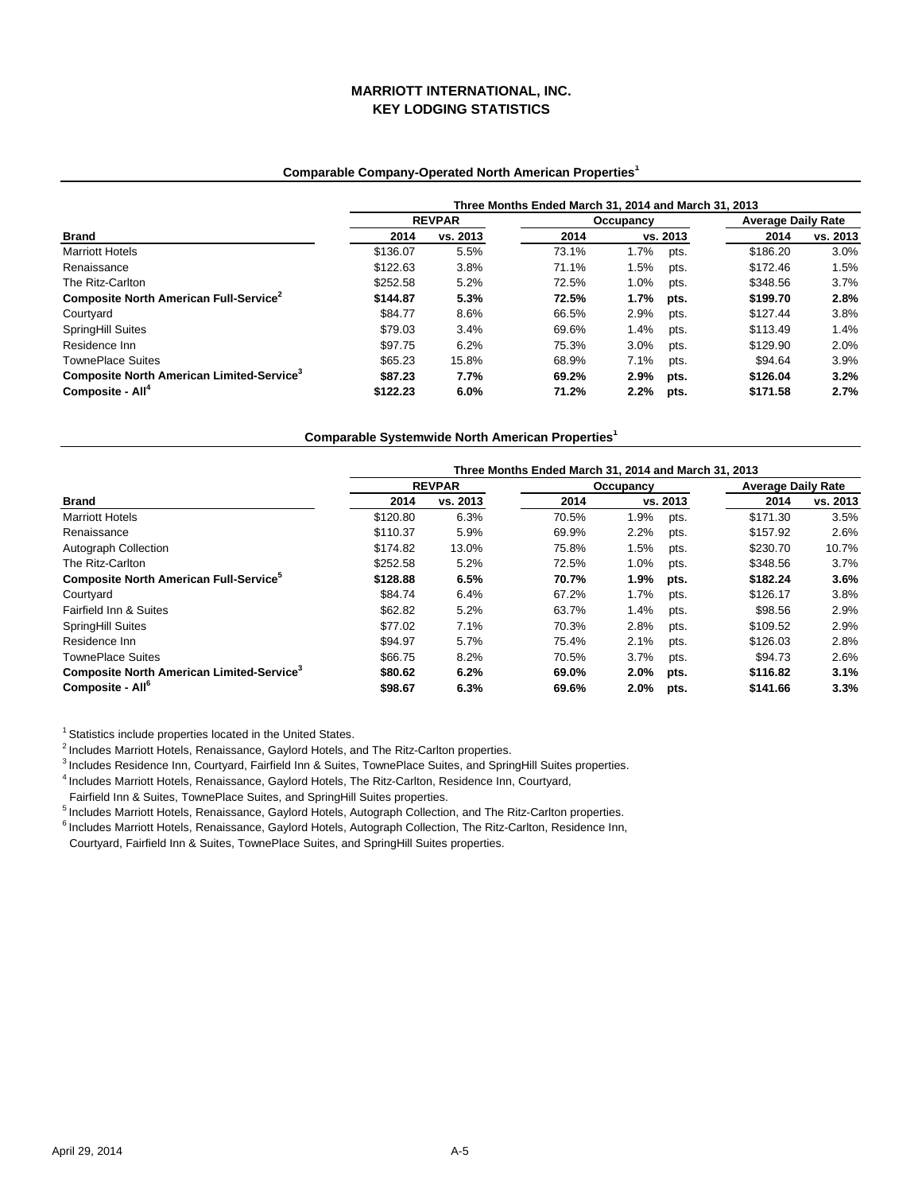# **MARRIOTT INTERNATIONAL, INC. KEY LODGING STATISTICS**

## **Comparable Company-Operated North American Properties1**

|                                                       | Three Months Ended March 31, 2014 and March 31, 2013 |               |       |           |          |                           |          |  |
|-------------------------------------------------------|------------------------------------------------------|---------------|-------|-----------|----------|---------------------------|----------|--|
|                                                       |                                                      | <b>REVPAR</b> |       | Occupancy |          | <b>Average Daily Rate</b> |          |  |
| <b>Brand</b>                                          | 2014                                                 | vs. 2013      | 2014  |           | vs. 2013 | 2014                      | vs. 2013 |  |
| <b>Marriott Hotels</b>                                | \$136.07                                             | 5.5%          | 73.1% | 1.7%      | pts.     | \$186.20                  | 3.0%     |  |
| Renaissance                                           | \$122.63                                             | 3.8%          | 71.1% | 1.5%      | pts.     | \$172.46                  | 1.5%     |  |
| The Ritz-Carlton                                      | \$252.58                                             | 5.2%          | 72.5% | 1.0%      | pts.     | \$348.56                  | 3.7%     |  |
| Composite North American Full-Service <sup>2</sup>    | \$144.87                                             | 5.3%          | 72.5% | 1.7%      | pts.     | \$199.70                  | 2.8%     |  |
| Courtyard                                             | \$84.77                                              | 8.6%          | 66.5% | 2.9%      | pts.     | \$127.44                  | 3.8%     |  |
| <b>SpringHill Suites</b>                              | \$79.03                                              | 3.4%          | 69.6% | 1.4%      | pts.     | \$113.49                  | 1.4%     |  |
| Residence Inn                                         | \$97.75                                              | 6.2%          | 75.3% | 3.0%      | pts.     | \$129.90                  | 2.0%     |  |
| <b>TownePlace Suites</b>                              | \$65.23                                              | 15.8%         | 68.9% | 7.1%      | pts.     | \$94.64                   | 3.9%     |  |
| Composite North American Limited-Service <sup>3</sup> | \$87.23                                              | 7.7%          | 69.2% | 2.9%      | pts.     | \$126.04                  | 3.2%     |  |
| Composite - All <sup>4</sup>                          | \$122.23                                             | 6.0%          | 71.2% | 2.2%      | pts.     | \$171.58                  | 2.7%     |  |

**Comparable Systemwide North American Properties1**

|                                                       | Three Months Ended March 31, 2014 and March 31, 2013 |               |       |           |          |                           |          |  |  |
|-------------------------------------------------------|------------------------------------------------------|---------------|-------|-----------|----------|---------------------------|----------|--|--|
| <b>Brand</b>                                          |                                                      | <b>REVPAR</b> |       | Occupancy |          | <b>Average Daily Rate</b> |          |  |  |
|                                                       | 2014                                                 | vs. 2013      | 2014  |           | vs. 2013 | 2014                      | vs. 2013 |  |  |
| <b>Marriott Hotels</b>                                | \$120.80                                             | 6.3%          | 70.5% | 1.9%      | pts.     | \$171.30                  | 3.5%     |  |  |
| Renaissance                                           | \$110.37                                             | 5.9%          | 69.9% | 2.2%      | pts.     | \$157.92                  | 2.6%     |  |  |
| Autograph Collection                                  | \$174.82                                             | 13.0%         | 75.8% | 1.5%      | pts.     | \$230.70                  | 10.7%    |  |  |
| The Ritz-Carlton                                      | \$252.58                                             | 5.2%          | 72.5% | 1.0%      | pts.     | \$348.56                  | 3.7%     |  |  |
| Composite North American Full-Service <sup>5</sup>    | \$128.88                                             | 6.5%          | 70.7% | 1.9%      | pts.     | \$182.24                  | 3.6%     |  |  |
| Courtvard                                             | \$84.74                                              | 6.4%          | 67.2% | 1.7%      | pts.     | \$126.17                  | 3.8%     |  |  |
| Fairfield Inn & Suites                                | \$62.82                                              | 5.2%          | 63.7% | 1.4%      | pts.     | \$98.56                   | 2.9%     |  |  |
| SpringHill Suites                                     | \$77.02                                              | 7.1%          | 70.3% | 2.8%      | pts.     | \$109.52                  | 2.9%     |  |  |
| Residence Inn                                         | \$94.97                                              | 5.7%          | 75.4% | 2.1%      | pts.     | \$126.03                  | 2.8%     |  |  |
| <b>TownePlace Suites</b>                              | \$66.75                                              | 8.2%          | 70.5% | 3.7%      | pts.     | \$94.73                   | 2.6%     |  |  |
| Composite North American Limited-Service <sup>3</sup> | \$80.62                                              | 6.2%          | 69.0% | 2.0%      | pts.     | \$116.82                  | 3.1%     |  |  |
| Composite - All <sup>6</sup>                          | \$98.67                                              | 6.3%          | 69.6% | 2.0%      | pts.     | \$141.66                  | 3.3%     |  |  |

<sup>1</sup> Statistics include properties located in the United States.

2 Includes Marriott Hotels, Renaissance, Gaylord Hotels, and The Ritz-Carlton properties.

<sup>3</sup> Includes Residence Inn, Courtyard, Fairfield Inn & Suites, TownePlace Suites, and SpringHill Suites properties.

4 Includes Marriott Hotels, Renaissance, Gaylord Hotels, The Ritz-Carlton, Residence Inn, Courtyard,

Fairfield Inn & Suites, TownePlace Suites, and SpringHill Suites properties.

5 Includes Marriott Hotels, Renaissance, Gaylord Hotels, Autograph Collection, and The Ritz-Carlton properties.

6 Includes Marriott Hotels, Renaissance, Gaylord Hotels, Autograph Collection, The Ritz-Carlton, Residence Inn,

Courtyard, Fairfield Inn & Suites, TownePlace Suites, and SpringHill Suites properties.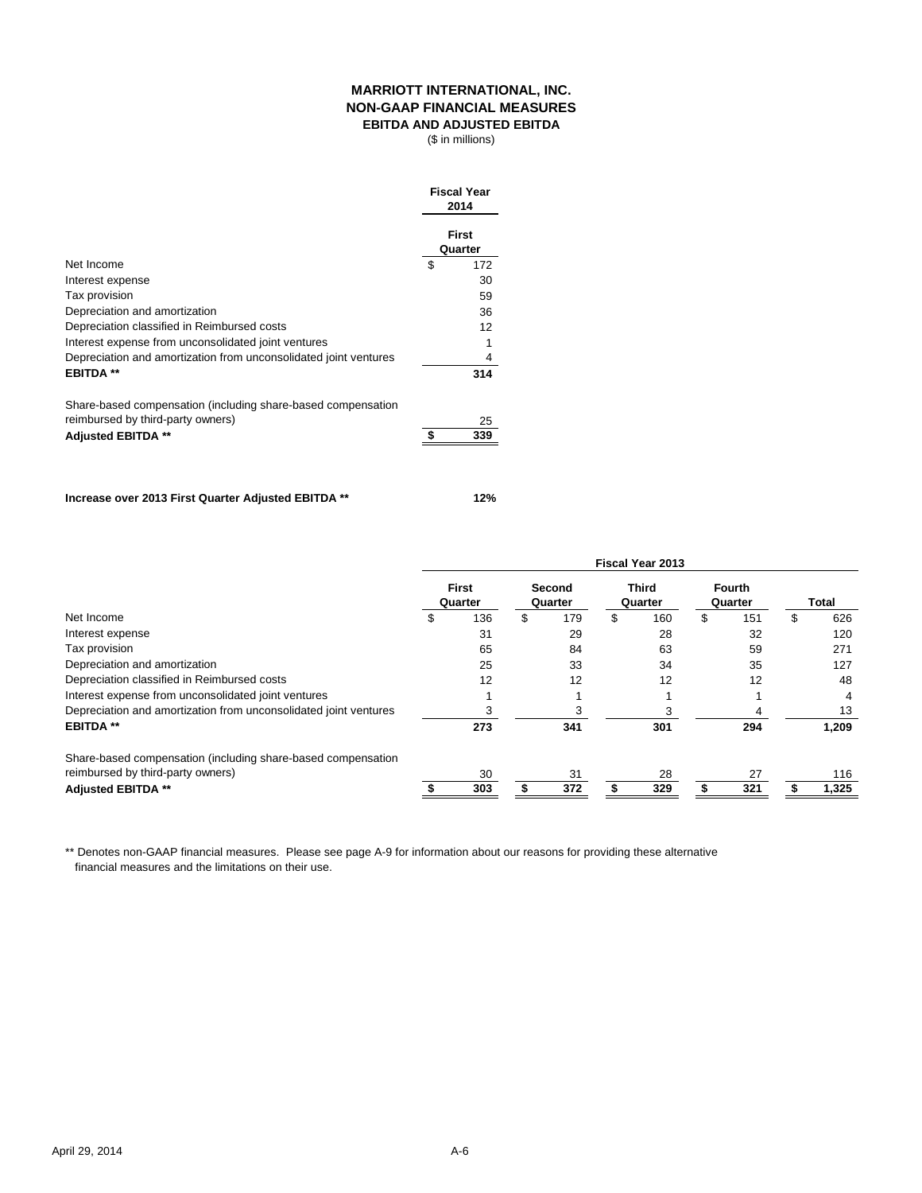## **MARRIOTT INTERNATIONAL, INC. NON-GAAP FINANCIAL MEASURES EBITDA AND ADJUSTED EBITDA**

(\$ in millions)

|                                                                  | <b>Fiscal Year</b><br>2014 |
|------------------------------------------------------------------|----------------------------|
|                                                                  | <b>First</b><br>Quarter    |
| Net Income                                                       | \$<br>172                  |
| Interest expense                                                 | 30                         |
| Tax provision                                                    | 59                         |
| Depreciation and amortization                                    | 36                         |
| Depreciation classified in Reimbursed costs                      | 12                         |
| Interest expense from unconsolidated joint ventures              |                            |
| Depreciation and amortization from unconsolidated joint ventures | 4                          |
| <b>EBITDA**</b>                                                  | 314                        |
| Share-based compensation (including share-based compensation     |                            |
| reimbursed by third-party owners)                                | 25                         |
| <b>Adjusted EBITDA **</b>                                        | \$<br>339                  |

**Increase over 2013 First Quarter Adjusted EBITDA \*\* 12%**

|                                                                  | <b>Fiscal Year 2013</b> |                         |    |                   |    |                         |    |                          |    |       |
|------------------------------------------------------------------|-------------------------|-------------------------|----|-------------------|----|-------------------------|----|--------------------------|----|-------|
|                                                                  |                         | <b>First</b><br>Quarter |    | Second<br>Quarter |    | <b>Third</b><br>Quarter |    | <b>Fourth</b><br>Quarter |    | Total |
| Net Income                                                       | \$                      | 136                     | \$ | 179               | \$ | 160                     | \$ | 151                      | \$ | 626   |
| Interest expense                                                 |                         | 31                      |    | 29                |    | 28                      |    | 32                       |    | 120   |
| Tax provision                                                    |                         | 65                      |    | 84                |    | 63                      |    | 59                       |    | 271   |
| Depreciation and amortization                                    |                         | 25                      |    | 33                |    | 34                      |    | 35                       |    | 127   |
| Depreciation classified in Reimbursed costs                      |                         | 12                      |    | 12                |    | 12                      |    | 12                       |    | 48    |
| Interest expense from unconsolidated joint ventures              |                         |                         |    |                   |    |                         |    |                          |    | 4     |
| Depreciation and amortization from unconsolidated joint ventures |                         | З                       |    |                   |    |                         |    |                          |    | 13    |
| <b>EBITDA**</b>                                                  |                         | 273                     |    | 341               |    | 301                     |    | 294                      |    | 1,209 |
| Share-based compensation (including share-based compensation     |                         |                         |    |                   |    |                         |    |                          |    |       |
| reimbursed by third-party owners)                                |                         | 30                      |    | 31                |    | 28                      |    | 27                       |    | 116   |
| <b>Adjusted EBITDA **</b>                                        |                         | 303                     |    | 372               |    | 329                     |    | 321                      |    | 1,325 |

\*\* Denotes non-GAAP financial measures. Please see page A-9 for information about our reasons for providing these alternative financial measures and the limitations on their use.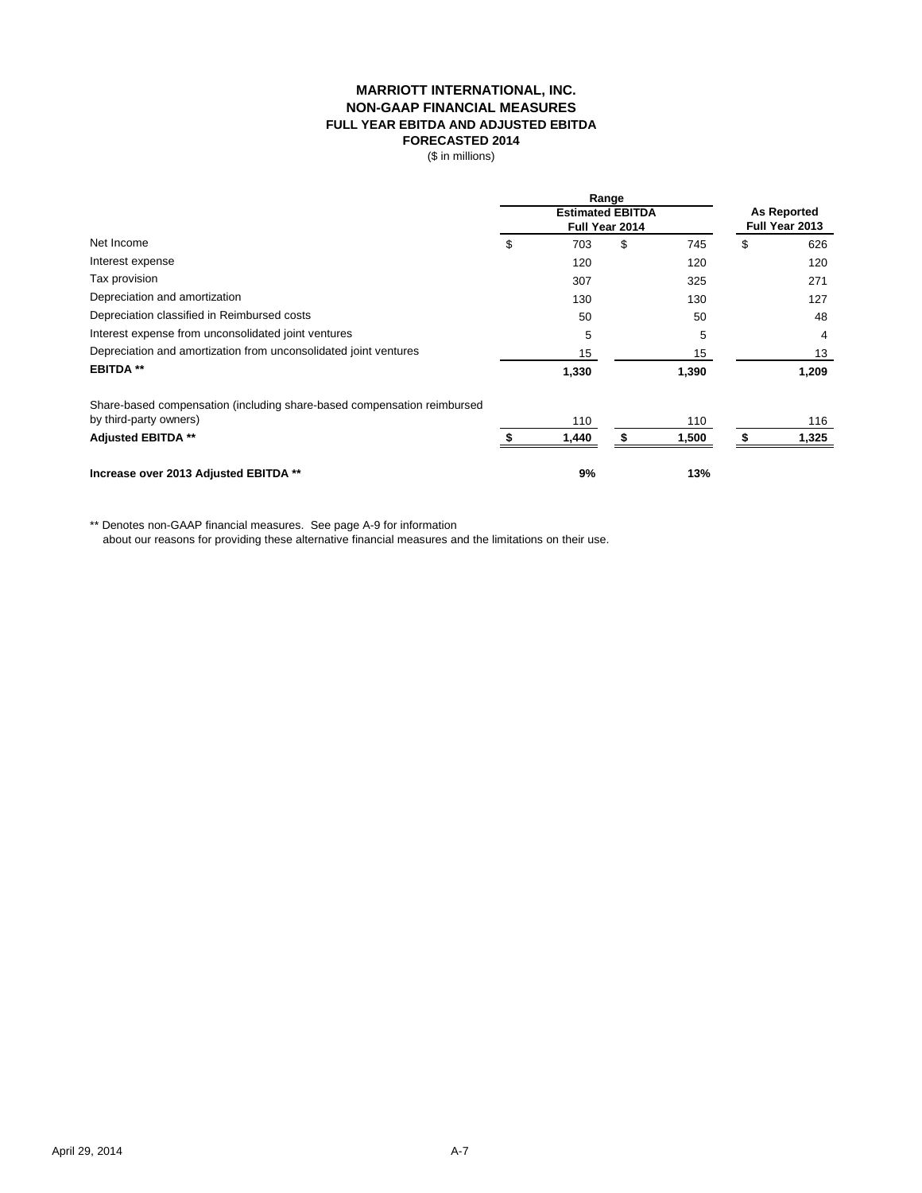## **MARRIOTT INTERNATIONAL, INC. NON-GAAP FINANCIAL MEASURES FULL YEAR EBITDA AND ADJUSTED EBITDA FORECASTED 2014**

(\$ in millions)

 $\overline{a}$ 

|                                                                         | Range                   |       |                |       |                    |                |
|-------------------------------------------------------------------------|-------------------------|-------|----------------|-------|--------------------|----------------|
|                                                                         | <b>Estimated EBITDA</b> |       |                |       | <b>As Reported</b> |                |
|                                                                         |                         |       | Full Year 2014 |       |                    | Full Year 2013 |
| Net Income                                                              | \$                      | 703   | \$             | 745   | \$                 | 626            |
| Interest expense                                                        |                         | 120   |                | 120   |                    | 120            |
| Tax provision                                                           |                         | 307   |                | 325   |                    | 271            |
| Depreciation and amortization                                           |                         | 130   |                | 130   |                    | 127            |
| Depreciation classified in Reimbursed costs                             |                         | 50    |                | 50    |                    | 48             |
| Interest expense from unconsolidated joint ventures                     |                         | 5     |                | 5     |                    | 4              |
| Depreciation and amortization from unconsolidated joint ventures        |                         | 15    |                | 15    |                    | 13             |
| <b>EBITDA **</b>                                                        |                         | 1,330 |                | 1,390 |                    | 1,209          |
| Share-based compensation (including share-based compensation reimbursed |                         |       |                |       |                    |                |
| by third-party owners)                                                  |                         | 110   |                | 110   |                    | 116            |
| <b>Adjusted EBITDA **</b>                                               |                         | 1,440 |                | 1,500 |                    | 1,325          |
| Increase over 2013 Adjusted EBITDA **                                   |                         | 9%    |                | 13%   |                    |                |

\*\* Denotes non-GAAP financial measures. See page A-9 for information

about our reasons for providing these alternative financial measures and the limitations on their use.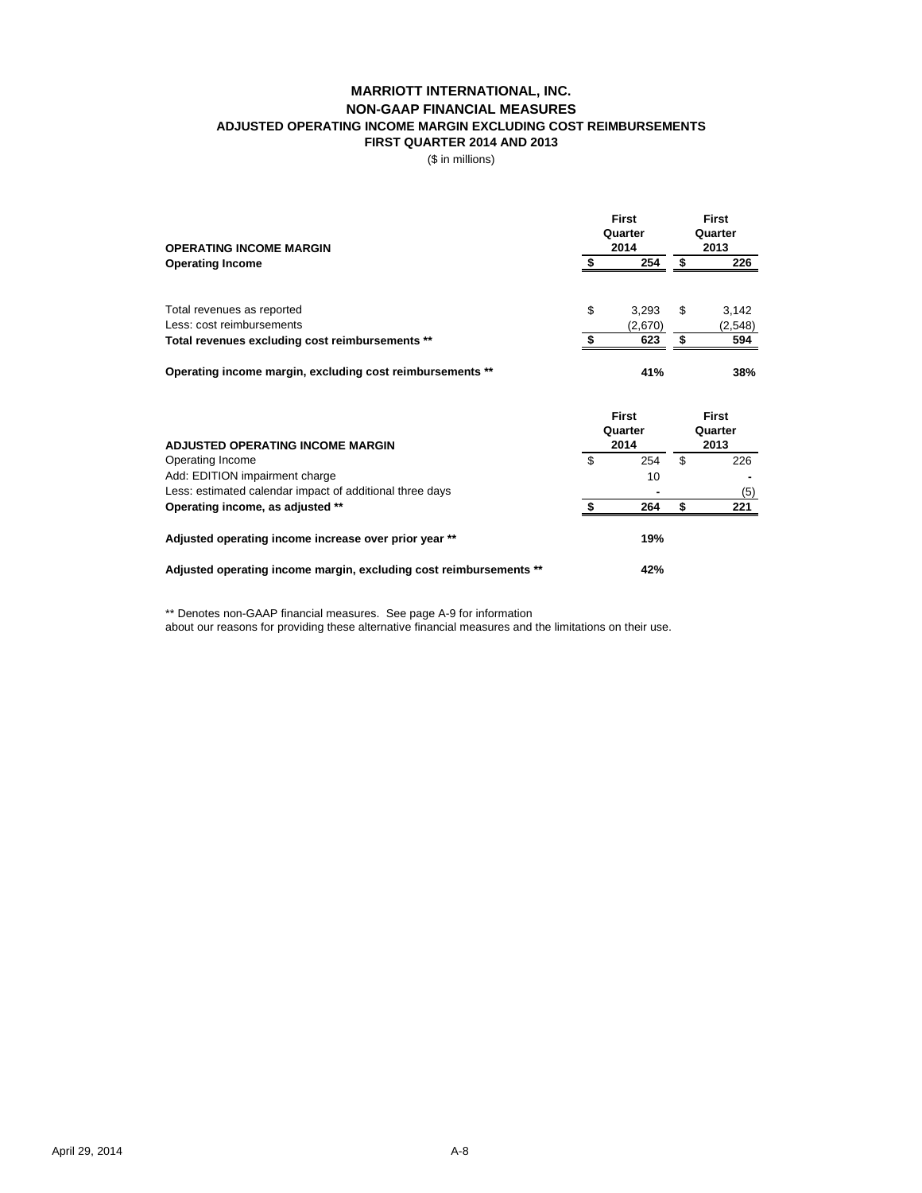## **MARRIOTT INTERNATIONAL, INC. NON-GAAP FINANCIAL MEASURES ADJUSTED OPERATING INCOME MARGIN EXCLUDING COST REIMBURSEMENTS FIRST QUARTER 2014 AND 2013**

(\$ in millions)

| <b>OPERATING INCOME MARGIN</b>                            | First<br>Quarter<br>2014 |   |         |
|-----------------------------------------------------------|--------------------------|---|---------|
| <b>Operating Income</b>                                   | 254                      |   | 226     |
| Total revenues as reported                                | \$<br>3.293              | S | 3,142   |
| Less: cost reimbursements                                 | (2,670)                  |   | (2,548) |
| Total revenues excluding cost reimbursements **           | 623                      |   | 594     |
| Operating income margin, excluding cost reimbursements ** | 41%                      |   | 38%     |

| <b>ADJUSTED OPERATING INCOME MARGIN</b>                            |   | <b>First</b><br>Quarter<br>2014 |   | <b>First</b><br>Quarter<br>2013 |  |
|--------------------------------------------------------------------|---|---------------------------------|---|---------------------------------|--|
| Operating Income                                                   | S | 254                             | S | 226                             |  |
| Add: EDITION impairment charge                                     |   | 10                              |   |                                 |  |
| Less: estimated calendar impact of additional three days           |   |                                 |   | (5)                             |  |
| Operating income, as adjusted **                                   |   | 264                             | S | 221                             |  |
| Adjusted operating income increase over prior year **              |   | 19%                             |   |                                 |  |
| Adjusted operating income margin, excluding cost reimbursements ** |   | 42%                             |   |                                 |  |

\*\* Denotes non-GAAP financial measures. See page A-9 for information

about our reasons for providing these alternative financial measures and the limitations on their use.